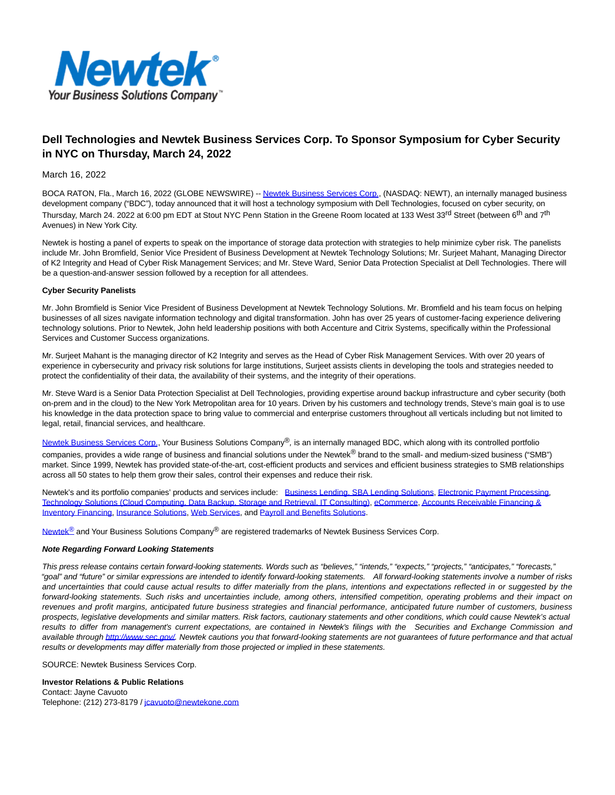

# **Dell Technologies and Newtek Business Services Corp. To Sponsor Symposium for Cyber Security in NYC on Thursday, March 24, 2022**

## March 16, 2022

BOCA RATON, Fla., March 16, 2022 (GLOBE NEWSWIRE) -[- Newtek Business Services Corp.,](https://www.globenewswire.com/Tracker?data=yiWvgTrwAx1c7Mos-m2RKNRAfAyQKwhUqFKTLzxsrhkiVuD7BkH49H5yC7MIrI2THI-gHKRVZ5irWPvu8UQIvEtK8jW6QY5hRCPCKauqjJo=) (NASDAQ: NEWT), an internally managed business development company ("BDC"), today announced that it will host a technology symposium with Dell Technologies, focused on cyber security, on Thursday, March 24. 2022 at 6:00 pm EDT at Stout NYC Penn Station in the Greene Room located at 133 West 33<sup>rd</sup> Street (between 6<sup>th</sup> and 7<sup>th</sup> Avenues) in New York City.

Newtek is hosting a panel of experts to speak on the importance of storage data protection with strategies to help minimize cyber risk. The panelists include Mr. John Bromfield, Senior Vice President of Business Development at Newtek Technology Solutions; Mr. Surjeet Mahant, Managing Director of K2 Integrity and Head of Cyber Risk Management Services; and Mr. Steve Ward, Senior Data Protection Specialist at Dell Technologies. There will be a question-and-answer session followed by a reception for all attendees.

### **Cyber Security Panelists**

Mr. John Bromfield is Senior Vice President of Business Development at Newtek Technology Solutions. Mr. Bromfield and his team focus on helping businesses of all sizes navigate information technology and digital transformation. John has over 25 years of customer-facing experience delivering technology solutions. Prior to Newtek, John held leadership positions with both Accenture and Citrix Systems, specifically within the Professional Services and Customer Success organizations.

Mr. Surjeet Mahant is the managing director of K2 Integrity and serves as the Head of Cyber Risk Management Services. With over 20 years of experience in cybersecurity and privacy risk solutions for large institutions, Surjeet assists clients in developing the tools and strategies needed to protect the confidentiality of their data, the availability of their systems, and the integrity of their operations.

Mr. Steve Ward is a Senior Data Protection Specialist at Dell Technologies, providing expertise around backup infrastructure and cyber security (both on-prem and in the cloud) to the New York Metropolitan area for 10 years. Driven by his customers and technology trends, Steve's main goal is to use his knowledge in the data protection space to bring value to commercial and enterprise customers throughout all verticals including but not limited to legal, retail, financial services, and healthcare.

[Newtek Business Services Corp.,](https://www.globenewswire.com/Tracker?data=yiWvgTrwAx1c7Mos-m2RKNRAfAyQKwhUqFKTLzxsrhkQJzZpqeFQNEWU-2PKuDRj2YIVApye1HHUxIE4xdLc6PBb3O-g0AoQkF65Vvkh3Tg=) Your Business Solutions Company®, is an internally managed BDC, which along with its controlled portfolio companies, provides a wide range of business and financial solutions under the Newtek<sup>®</sup> brand to the small- and medium-sized business ("SMB") market. Since 1999, Newtek has provided state-of-the-art, cost-efficient products and services and efficient business strategies to SMB relationships across all 50 states to help them grow their sales, control their expenses and reduce their risk.

Newtek's and its portfolio companies' products and services include: [Business Lending, SBA Lending Solutions,](https://www.globenewswire.com/Tracker?data=6RnBMR21bOkj-1XB7hWLzCvovpqelfoahvSZe3wDPoxNzVtg_vw2SIcF4sdnnWSpj7uO5Tverdfj9zZfnP7r3Yj0K302Djz_SywgFt4wRsbhSSJfVwLx-2xq06obYaQ7) [Electronic Payment Processing,](https://www.globenewswire.com/Tracker?data=mxa91ibTSZynLnf6lJzNjsLsEoH2oo6ZdEmu5-0SVzPLIXXpL6mP2xkfYtpPyRGmmEPtyqCBaqQ0xN8Z8SpE2ye9py23FhOZz0SBChbHkde8pIoSw4XUeevEV15l9b0S) [Technology Solutions \(Cloud Computing, Data Backup, Storage and Retrieval, IT Consulting\),](https://www.globenewswire.com/Tracker?data=DdcEhoAfhw2_Kng4DxNEAdgZeIrERQxnO2rV9BxdNjEpn6f-2Us1JCyG6niQK9n4NaAOP9lvFwLSiqTOBE9T4EcqFqa3wQkNNZRdvbdkWnlobXILw2-epf03PmJM14613Admo2Gb4HpYKW8JgdgxEMLFe1dQAQusTmsiIq0lsVDdDqR2rqQ9taXtWxw6ckGRp9BrVmb5F8Io3dIplyUWMw==) [eCommerce,](https://www.globenewswire.com/Tracker?data=hmpQ-OP7CwNk_I81RdqmHFBsQaSSsfq7oAjaudh28Ws-EFkCn7zkSC_tLhhtVSaY2nDxRxfgGsNCHcbIpopw1Qd3N6c1QCz01ye25uIGafU=) [Accounts Receivable Financing &](https://www.globenewswire.com/Tracker?data=m_xyFN4QZO-N8AUhu8xNw25tlkf0B4fB4r9zWGs-GBGkrz96zeGXKm0asPUF5hbKZ0Vub_BN9he1VtLctGe85D5cAFwd_d3nfTk50tIghFFWV7R6CiWic2beQywGQi-ZWeNc5ZZxbIrPC3tvD3NDf_4y_aXPiIqRnRgL3ZzOeOhJApfXObkzEQ7bh0hJL9Kns6w7UCrPusZaXRD8xyqOqg==) Inventory Financing, [Insurance Solutions,](https://www.globenewswire.com/Tracker?data=xNIdY7j8BsLRH4B8yUNBTrYkpzyh5QO4_xo2OWqugilrKB7xzpfJ6ogVtIocCmdWaWQ8LUjIZcC_tceHOtO92f_hxUl1CPxdIl1W-ofzjzo=) [Web Services,](https://www.globenewswire.com/Tracker?data=yJDRlAvwBSLppELGfgq1nv4w-84F71-fvjLx0X91eHVFJ3Yl88CSik26U-4v_LlLWBSy7WnGOB8ofKEJVggzmg==) and [Payroll and Benefits Solutions.](https://www.globenewswire.com/Tracker?data=Nq-Yc-9WaIwj70jsvVylNza9tKdT6-6EJc5QOYAdAYEj2Cl9kuv96HLLIggM4EKzmSe6TjM_poiFlqcLbT6Uv1gw4J-KYxvePR0HaWV3qp8=)

[Newtek](https://www.globenewswire.com/Tracker?data=yiWvgTrwAx1c7Mos-m2RKBFa2Ok4HMH_tuX-m1Va2iiuenWukDvC5UcJhLDVXOr32KY1p7mvZ7KyS5Tx7-GYDw==)<sup>[®](https://www.globenewswire.com/Tracker?data=PgQylHU71PUfvRYTHttmCVFEkPOChCsJU-xnWL-KksGE6ojqBByxGY3kkMBegLBLm1tq07X_ErgxbsIIOXBnOA==)</sup> and Your Business Solutions Company<sup>®</sup> are registered trademarks of Newtek Business Services Corp.

### **Note Regarding Forward Looking Statements**

This press release contains certain forward-looking statements. Words such as "believes," "intends," "expects," "projects," "anticipates," "forecasts," "goal" and "future" or similar expressions are intended to identify forward-looking statements. All forward-looking statements involve a number of risks and uncertainties that could cause actual results to differ materially from the plans, intentions and expectations reflected in or suggested by the forward-looking statements. Such risks and uncertainties include, among others, intensified competition, operating problems and their impact on revenues and profit margins, anticipated future business strategies and financial performance, anticipated future number of customers, business prospects, legislative developments and similar matters. Risk factors, cautionary statements and other conditions, which could cause Newtek's actual results to differ from management's current expectations, are contained in Newtek's filings with the Securities and Exchange Commission and available throug[h http://www.sec.gov/.](https://www.globenewswire.com/Tracker?data=d2D2VQxkJkUw5ZsciFqZsZShbST0hgxLPQXjHGAlH9J2-AmME40YoEPwxBD_r6lAeI4cGFJD1ozeNWI8VZjUgw==) Newtek cautions you that forward-looking statements are not guarantees of future performance and that actual results or developments may differ materially from those projected or implied in these statements.

SOURCE: Newtek Business Services Corp.

### **Investor Relations & Public Relations**

Contact: Jayne Cavuoto Telephone: (212) 273-8179 / [jcavuoto@newtekone.com](https://www.globenewswire.com/Tracker?data=u8KtbjDRgJxO487x_3bgX9mxFWqYCELb86Tpm3ncVFIfy1LA6xDTmeqqFDnlkgAkMpiIcsgNpukJ2y218oGmus0RQAUn100qFbsfJPL-zfw=)